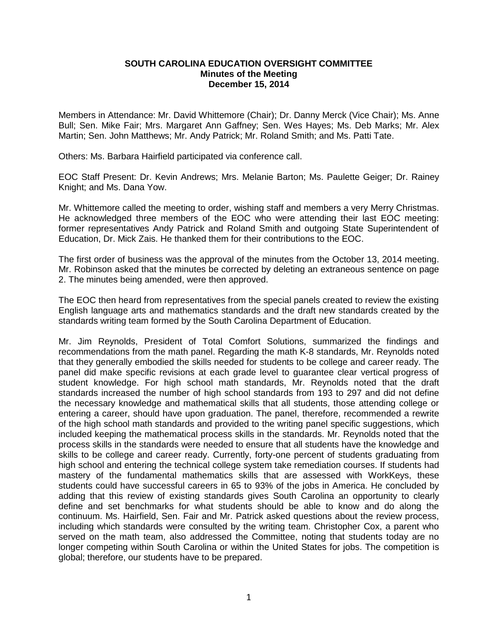## **SOUTH CAROLINA EDUCATION OVERSIGHT COMMITTEE Minutes of the Meeting December 15, 2014**

Members in Attendance: Mr. David Whittemore (Chair); Dr. Danny Merck (Vice Chair); Ms. Anne Bull; Sen. Mike Fair; Mrs. Margaret Ann Gaffney; Sen. Wes Hayes; Ms. Deb Marks; Mr. Alex Martin; Sen. John Matthews; Mr. Andy Patrick; Mr. Roland Smith; and Ms. Patti Tate.

Others: Ms. Barbara Hairfield participated via conference call.

EOC Staff Present: Dr. Kevin Andrews; Mrs. Melanie Barton; Ms. Paulette Geiger; Dr. Rainey Knight; and Ms. Dana Yow.

Mr. Whittemore called the meeting to order, wishing staff and members a very Merry Christmas. He acknowledged three members of the EOC who were attending their last EOC meeting: former representatives Andy Patrick and Roland Smith and outgoing State Superintendent of Education, Dr. Mick Zais. He thanked them for their contributions to the EOC.

The first order of business was the approval of the minutes from the October 13, 2014 meeting. Mr. Robinson asked that the minutes be corrected by deleting an extraneous sentence on page 2. The minutes being amended, were then approved.

The EOC then heard from representatives from the special panels created to review the existing English language arts and mathematics standards and the draft new standards created by the standards writing team formed by the South Carolina Department of Education.

Mr. Jim Reynolds, President of Total Comfort Solutions, summarized the findings and recommendations from the math panel. Regarding the math K-8 standards, Mr. Reynolds noted that they generally embodied the skills needed for students to be college and career ready. The panel did make specific revisions at each grade level to guarantee clear vertical progress of student knowledge. For high school math standards, Mr. Reynolds noted that the draft standards increased the number of high school standards from 193 to 297 and did not define the necessary knowledge and mathematical skills that all students, those attending college or entering a career, should have upon graduation. The panel, therefore, recommended a rewrite of the high school math standards and provided to the writing panel specific suggestions, which included keeping the mathematical process skills in the standards. Mr. Reynolds noted that the process skills in the standards were needed to ensure that all students have the knowledge and skills to be college and career ready. Currently, forty-one percent of students graduating from high school and entering the technical college system take remediation courses. If students had mastery of the fundamental mathematics skills that are assessed with WorkKeys, these students could have successful careers in 65 to 93% of the jobs in America. He concluded by adding that this review of existing standards gives South Carolina an opportunity to clearly define and set benchmarks for what students should be able to know and do along the continuum. Ms. Hairfield, Sen. Fair and Mr. Patrick asked questions about the review process, including which standards were consulted by the writing team. Christopher Cox, a parent who served on the math team, also addressed the Committee, noting that students today are no longer competing within South Carolina or within the United States for jobs. The competition is global; therefore, our students have to be prepared.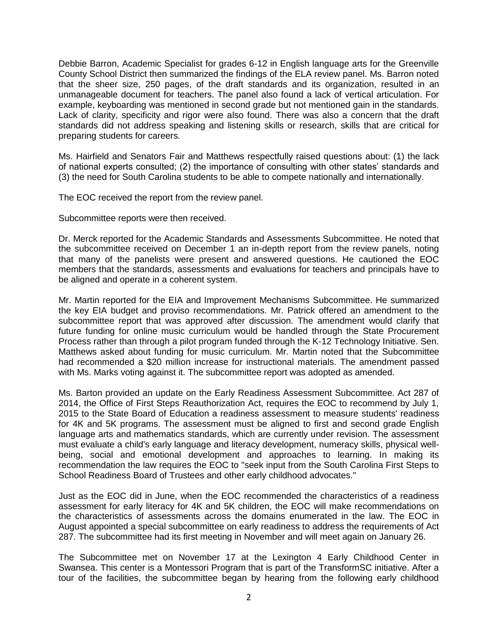Debbie Barron, Academic Specialist for grades 6-12 in English language arts for the Greenville County School District then summarized the findings of the ELA review panel. Ms. Barron noted that the sheer size, 250 pages, of the draft standards and its organization, resulted in an unmanageable document for teachers. The panel also found a lack of vertical articulation. For example, keyboarding was mentioned in second grade but not mentioned gain in the standards. Lack of clarity, specificity and rigor were also found. There was also a concern that the draft standards did not address speaking and listening skills or research, skills that are critical for preparing students for careers.

Ms. Hairfield and Senators Fair and Matthews respectfully raised questions about: (1) the lack of national experts consulted; (2) the importance of consulting with other states' standards and (3) the need for South Carolina students to be able to compete nationally and internationally.

The EOC received the report from the review panel.

Subcommittee reports were then received.

Dr. Merck reported for the Academic Standards and Assessments Subcommittee. He noted that the subcommittee received on December 1 an in-depth report from the review panels, noting that many of the panelists were present and answered questions. He cautioned the EOC members that the standards, assessments and evaluations for teachers and principals have to be aligned and operate in a coherent system.

Mr. Martin reported for the EIA and Improvement Mechanisms Subcommittee. He summarized the key EIA budget and proviso recommendations. Mr. Patrick offered an amendment to the subcommittee report that was approved after discussion. The amendment would clarify that future funding for online music curriculum would be handled through the State Procurement Process rather than through a pilot program funded through the K-12 Technology Initiative. Sen. Matthews asked about funding for music curriculum. Mr. Martin noted that the Subcommittee had recommended a \$20 million increase for instructional materials. The amendment passed with Ms. Marks voting against it. The subcommittee report was adopted as amended.

Ms. Barton provided an update on the Early Readiness Assessment Subcommittee. Act 287 of 2014, the Office of First Steps Reauthorization Act, requires the EOC to recommend by July 1, 2015 to the State Board of Education a readiness assessment to measure students' readiness for 4K and 5K programs. The assessment must be aligned to first and second grade English language arts and mathematics standards, which are currently under revision. The assessment must evaluate a child's early language and literacy development, numeracy skills, physical wellbeing, social and emotional development and approaches to learning. In making its recommendation the law requires the EOC to "seek input from the South Carolina First Steps to School Readiness Board of Trustees and other early childhood advocates."

Just as the EOC did in June, when the EOC recommended the characteristics of a readiness assessment for early literacy for 4K and 5K children, the EOC will make recommendations on the characteristics of assessments across the domains enumerated in the law. The EOC in August appointed a special subcommittee on early readiness to address the requirements of Act 287. The subcommittee had its first meeting in November and will meet again on January 26.

The Subcommittee met on November 17 at the Lexington 4 Early Childhood Center in Swansea. This center is a Montessori Program that is part of the TransformSC initiative. After a tour of the facilities, the subcommittee began by hearing from the following early childhood